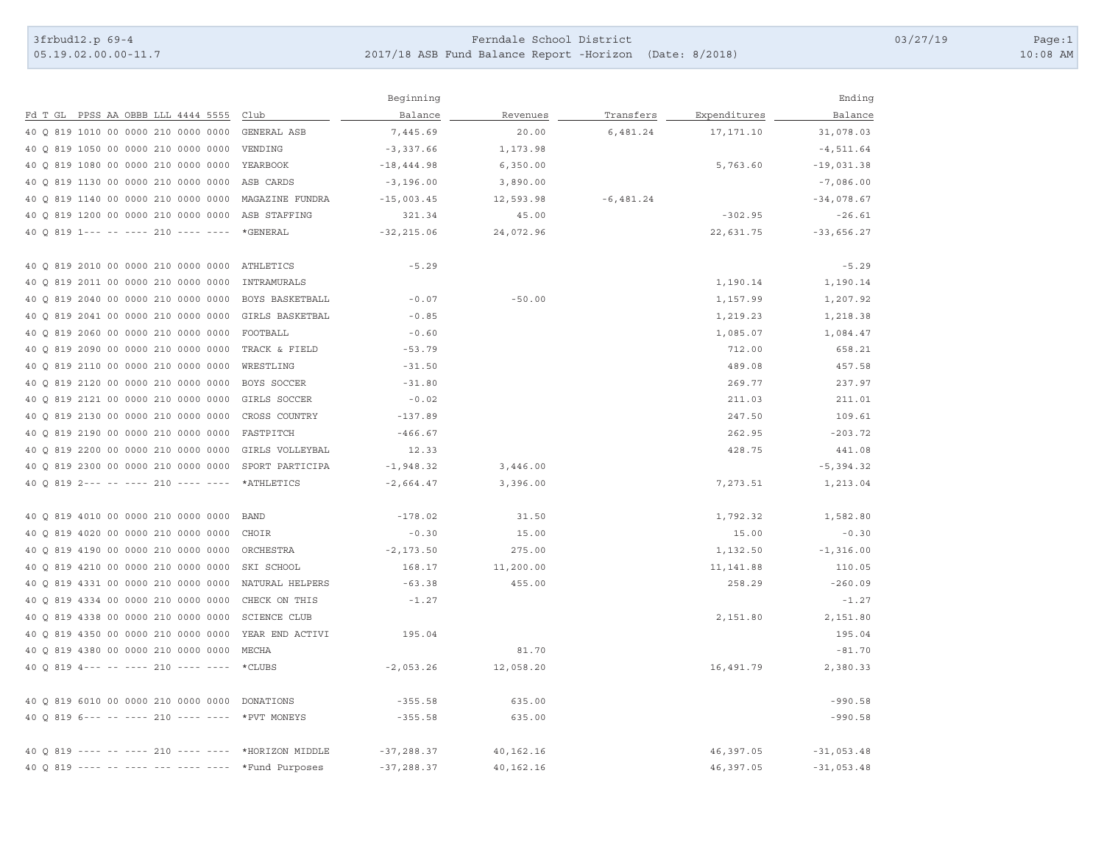05.19.02.00.00-11.7

## 3frbud12.p 69-4 Page:1 2017/18 ASB Fun d Balance Report -Horizon (Date: 8/2018) 10:08 AM

|                                                     |                     | Beginning     |           |              |              | Ending       |
|-----------------------------------------------------|---------------------|---------------|-----------|--------------|--------------|--------------|
| Fd T GL PPSS AA OBBB LLL 4444 5555                  | Club                | Balance       | Revenues  | Transfers    | Expenditures | Balance      |
| 40 0 819 1010 00 0000 210 0000 0000                 | GENERAL ASB         | 7,445.69      | 20.00     | 6,481.24     | 17, 171.10   | 31,078.03    |
| 40 0 819 1050 00 0000 210 0000 0000                 | VENDING             | $-3,337.66$   | 1,173.98  |              |              | $-4, 511.64$ |
| 40 0 819 1080 00 0000 210 0000 0000                 | YEARBOOK            | $-18, 444.98$ | 6,350.00  |              | 5,763.60     | $-19,031.38$ |
| 40 Q 819 1130 00 0000 210 0000 0000                 | ASB CARDS           | $-3,196.00$   | 3,890.00  |              |              | $-7,086.00$  |
| 40 0 819 1140 00 0000 210 0000 0000                 | MAGAZINE FUNDRA     | $-15,003.45$  | 12,593.98 | $-6, 481.24$ |              | $-34,078.67$ |
| 40 0 819 1200 00 0000 210 0000 0000                 | ASB STAFFING        | 321.34        | 45.00     |              | $-302.95$    | $-26.61$     |
| 40 0 819 1--- -- ---- 210 ---- ----                 | *GENERAL            | $-32, 215.06$ | 24,072.96 |              | 22,631.75    | $-33,656.27$ |
| 40 0 819 2010 00 0000 210 0000 0000                 | ATHLETICS           | $-5.29$       |           |              |              | $-5.29$      |
| 40 0 819 2011 00 0000 210 0000 0000                 | INTRAMURALS         |               |           |              | 1,190.14     | 1,190.14     |
| 40 0 819 2040 00 0000 210 0000 0000                 | BOYS BASKETBALL     | $-0.07$       | $-50.00$  |              | 1,157.99     | 1,207.92     |
| 40 0 819 2041 00 0000 210 0000 0000                 | GIRLS BASKETBAL     | $-0.85$       |           |              | 1,219.23     | 1,218.38     |
| 40 0 819 2060 00 0000 210 0000 0000                 | FOOTBALL            | $-0.60$       |           |              | 1,085.07     | 1,084.47     |
| 40 0 819 2090 00 0000 210 0000 0000                 | TRACK & FIELD       | $-53.79$      |           |              | 712.00       | 658.21       |
| 40 0 819 2110 00 0000 210 0000 0000                 | WRESTLING           | $-31.50$      |           |              | 489.08       | 457.58       |
| 40 Q 819 2120 00 0000 210 0000 0000                 | BOYS SOCCER         | $-31.80$      |           |              | 269.77       | 237.97       |
| 40 0 819 2121 00 0000 210 0000 0000                 | GIRLS SOCCER        | $-0.02$       |           |              | 211.03       | 211.01       |
| 40 0 819 2130 00 0000 210 0000 0000                 | CROSS COUNTRY       | $-137.89$     |           |              | 247.50       | 109.61       |
| 40 Q 819 2190 00 0000 210 0000 0000                 | FASTPITCH           | $-466.67$     |           |              | 262.95       | $-203.72$    |
| 40 0 819 2200 00 0000 210 0000 0000                 | GIRLS VOLLEYBAL     | 12.33         |           |              | 428.75       | 441.08       |
| 40 0 819 2300 00 0000 210 0000 0000                 | SPORT PARTICIPA     | $-1,948.32$   | 3,446.00  |              |              | $-5, 394.32$ |
| 40 0 819 2--- -- ---- 210 ---- ----                 | *ATHLETICS          | $-2,664.47$   | 3,396.00  |              | 7,273.51     | 1,213.04     |
| 40 0 819 4010 00 0000 210 0000 0000                 | <b>BAND</b>         | $-178.02$     | 31.50     |              | 1,792.32     | 1,582.80     |
| 40 0 819 4020 00 0000 210 0000 0000                 | CHOIR               | $-0.30$       | 15.00     |              | 15.00        | $-0.30$      |
| 40 Q 819 4190 00 0000 210 0000 0000                 | ORCHESTRA           | $-2, 173.50$  | 275.00    |              | 1,132.50     | $-1, 316.00$ |
| 40 0 819 4210 00 0000 210 0000 0000                 | SKI SCHOOL          | 168.17        | 11,200.00 |              | 11, 141.88   | 110.05       |
| 40 0 819 4331 00 0000 210 0000 0000                 | NATURAL HELPERS     | $-63.38$      | 455.00    |              | 258.29       | $-260.09$    |
| 40 0 819 4334 00 0000 210 0000 0000                 | CHECK ON THIS       | $-1.27$       |           |              |              | $-1.27$      |
| 40 Q 819 4338 00 0000 210 0000 0000                 | <b>SCIENCE CLUB</b> |               |           |              | 2,151.80     | 2,151.80     |
| 40 0 819 4350 00 0000 210 0000 0000                 | YEAR END ACTIVI     | 195.04        |           |              |              | 195.04       |
| 40 Q 819 4380 00 0000 210 0000 0000                 | MECHA               |               | 81.70     |              |              | $-81.70$     |
| 40 0 819 4--- -- ---- 210 ---- ----                 | *CLUBS              | $-2,053.26$   | 12,058.20 |              | 16,491.79    | 2,380.33     |
| 40 Q 819 6010 00 0000 210 0000 0000 DONATIONS       |                     | $-355.58$     | 635.00    |              |              | $-990.58$    |
| 40 0 819 6--- -- ---- 210 ---- ---- *PVT MONEYS     |                     | $-355.58$     | 635.00    |              |              | $-990.58$    |
| 40 0 819 ---- -- ---- 210 ---- ---- *HORIZON MIDDLE |                     | $-37, 288.37$ | 40,162.16 |              | 46,397.05    | $-31,053.48$ |
| $400819$ ---- -- ----                               | *Fund Purposes      | $-37, 288.37$ | 40,162.16 |              | 46,397.05    | $-31,053.48$ |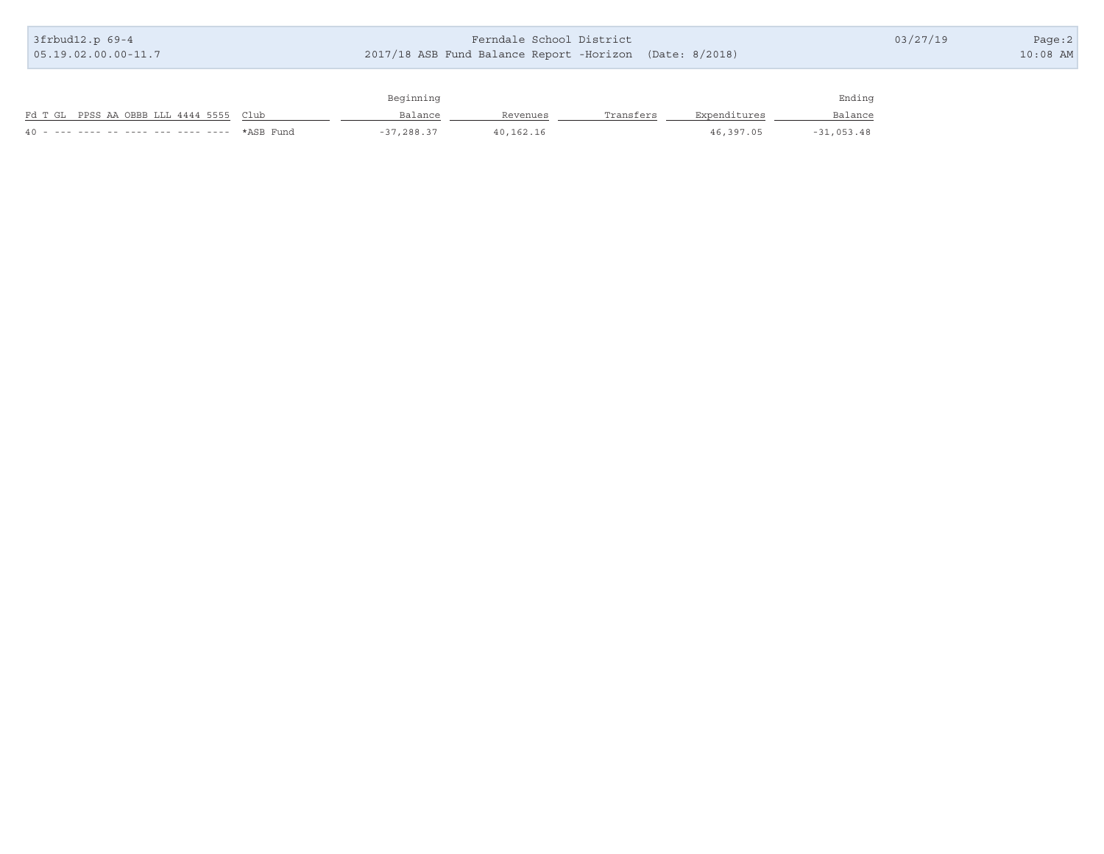| 3frbud12.p 69-4                         | Ferndale School District<br>2017/18 ASB Fund Balance Report -Horizon (Date: 8/2018) |          |           |              |         | 03/27/19 | Page:2 |
|-----------------------------------------|-------------------------------------------------------------------------------------|----------|-----------|--------------|---------|----------|--------|
| $05.19.02.00.00-11.7$                   |                                                                                     |          |           |              |         |          |        |
|                                         |                                                                                     |          |           |              |         |          |        |
|                                         | Beginning                                                                           |          |           |              | Ending  |          |        |
| Fd T GL PPSS AA OBBB LLL 4444 5555 Club | Balance                                                                             | Revenues | Transfers | Expenditures | Balance |          |        |

40 - --- ---- -- ---- --- ---- ---- \*ASB Fund -37,288.37 40,162.16 46,397.05 -31,053.48

T.